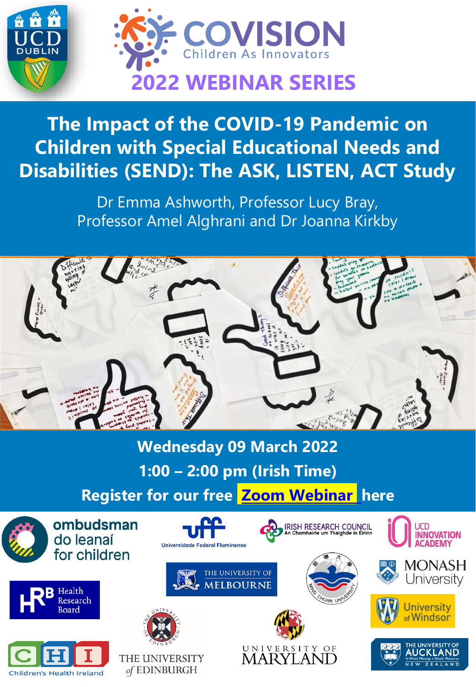

## **The Impact of the COVID-19 Pandemic on Children with Special Educational Needs and Disabilities (SEND): The ASK, LISTEN, ACT Study**

Dr Emma Ashworth, Professor Lucy Bray, Professor Amel Alghrani and Dr Joanna Kirkby



**Wednesday 09 March 2022 1:00 – 2:00 pm (Irish Time) Register for our free [Zoom Webinar](https://ucd-ie.zoom.us/webinar/register/WN_8X8KxLvAR-KefivJ3wpM5Q) here** ombudsman **IRISH RESEARCH COUNCIL**<br>An Chombairle um Thaighde in Éirinn **INNOVATION** do leanaí **ACADEMY Universidade Federal Fluminense** for children MONASH THE UNIVERSITY OF University **MELBOURNE** Health **Research** Jniversity Roard Windsor UNIVERSITY OF THE UNIVERSITY **MARYLAND** 

of EDINBURGH

**Children's Health Ireland**